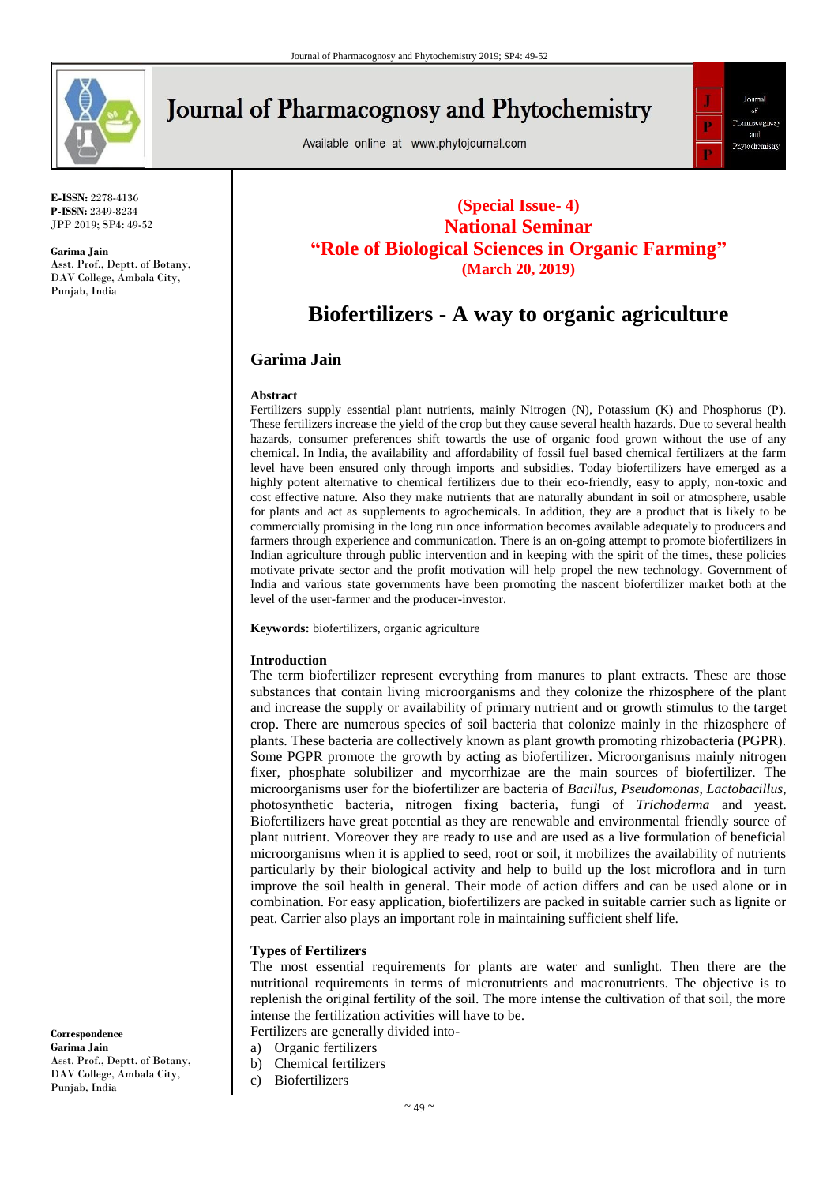

**E-ISSN:** 2278-4136 **P-ISSN:** 2349-8234 JPP 2019; SP4: 49-52

**Garima Jain** Asst. Prof., Deptt. of Botany, DAV College, Ambala City, Punjab, India

# **Journal of Pharmacognosy and Phytochemistry**

Available online at www.phytojournal.com



### **(Special Issue- 4) National Seminar "Role of Biological Sciences in Organic Farming" (March 20, 2019)**

## **Biofertilizers - A way to organic agriculture**

#### **Garima Jain**

#### **Abstract**

Fertilizers supply essential plant nutrients, mainly Nitrogen (N), Potassium (K) and Phosphorus (P). These fertilizers increase the yield of the crop but they cause several health hazards. Due to several health hazards, consumer preferences shift towards the use of organic food grown without the use of any chemical. In India, the availability and affordability of fossil fuel based chemical fertilizers at the farm level have been ensured only through imports and subsidies. Today biofertilizers have emerged as a highly potent alternative to chemical fertilizers due to their eco-friendly, easy to apply, non-toxic and cost effective nature. Also they make nutrients that are naturally abundant in soil or atmosphere, usable for plants and act as supplements to agrochemicals. In addition, they are a product that is likely to be commercially promising in the long run once information becomes available adequately to producers and farmers through experience and communication. There is an on-going attempt to promote biofertilizers in Indian agriculture through public intervention and in keeping with the spirit of the times, these policies motivate private sector and the profit motivation will help propel the new technology. Government of India and various state governments have been promoting the nascent biofertilizer market both at the level of the user-farmer and the producer-investor.

**Keywords:** biofertilizers, organic agriculture

#### **Introduction**

The term biofertilizer represent everything from manures to plant extracts. These are those substances that contain living microorganisms and they colonize the rhizosphere of the plant and increase the supply or availability of primary nutrient and or growth stimulus to the target crop. There are numerous species of soil bacteria that colonize mainly in the rhizosphere of plants. These bacteria are collectively known as plant growth promoting rhizobacteria (PGPR). Some PGPR promote the growth by acting as biofertilizer. Microorganisms mainly nitrogen fixer, phosphate solubilizer and mycorrhizae are the main sources of biofertilizer. The microorganisms user for the biofertilizer are bacteria of *Bacillus*, *Pseudomonas*, *Lactobacillus*, photosynthetic bacteria, nitrogen fixing bacteria, fungi of *Trichoderma* and yeast. Biofertilizers have great potential as they are renewable and environmental friendly source of plant nutrient. Moreover they are ready to use and are used as a live formulation of beneficial microorganisms when it is applied to seed, root or soil, it mobilizes the availability of nutrients particularly by their biological activity and help to build up the lost microflora and in turn improve the soil health in general. Their mode of action differs and can be used alone or in combination. For easy application, biofertilizers are packed in suitable carrier such as lignite or peat. Carrier also plays an important role in maintaining sufficient shelf life.

#### **Types of Fertilizers**

The most essential requirements for plants are water and sunlight. Then there are the nutritional requirements in terms of micronutrients and macronutrients. The objective is to replenish the original fertility of the soil. The more intense the cultivation of that soil, the more intense the fertilization activities will have to be.

- Fertilizers are generally divided into-
- a) Organic fertilizers
- b) Chemical fertilizers
- c) Biofertilizers

**Correspondence Garima Jain** Asst. Prof., Deptt. of Botany, DAV College, Ambala City, Punjab, India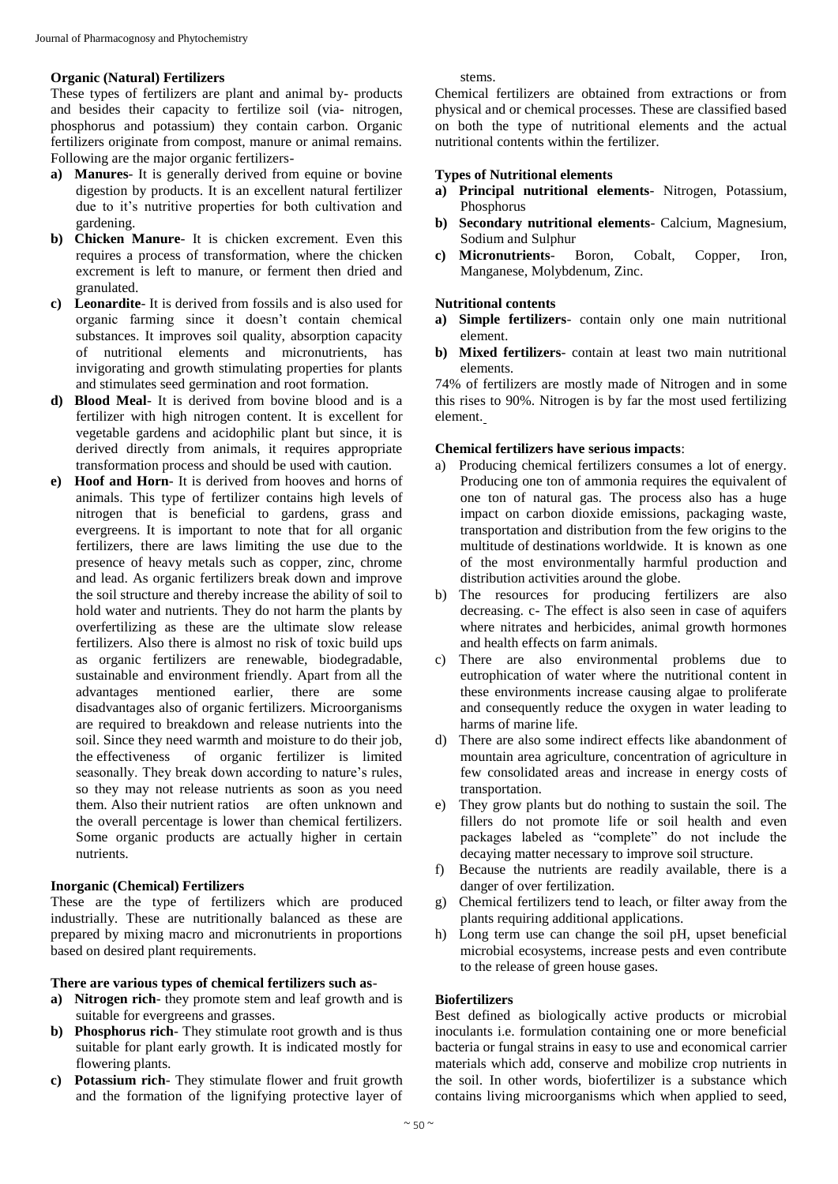#### **Organic (Natural) Fertilizers**

These types of fertilizers are plant and animal by- products and besides their capacity to fertilize soil (via- nitrogen, phosphorus and potassium) they contain carbon. Organic fertilizers originate from compost, manure or animal remains. Following are the major organic fertilizers-

- **a) Manures** It is generally derived from equine or bovine digestion by products. It is an excellent natural fertilizer due to it's nutritive properties for both cultivation and gardening.
- **b) Chicken Manure** It is chicken excrement. Even this requires a process of transformation, where the chicken excrement is left to manure, or ferment then dried and granulated.
- **c) Leonardite** It is derived from fossils and is also used for organic farming since it doesn't contain chemical substances. It improves soil quality, absorption capacity of nutritional elements and micronutrients, has invigorating and growth stimulating properties for plants and stimulates seed germination and root formation.
- **d) Blood Meal** It is derived from bovine blood and is a fertilizer with high nitrogen content. It is excellent for vegetable gardens and acidophilic plant but since, it is derived directly from animals, it requires appropriate transformation process and should be used with caution.
- **e) Hoof and Horn** It is derived from hooves and horns of animals. This type of fertilizer contains high levels of nitrogen that is beneficial to gardens, grass and evergreens. It is important to note that for all organic fertilizers, there are laws limiting the use due to the presence of heavy metals such as copper, zinc, chrome and lead. As organic fertilizers break down and improve the soil structure and thereby increase the ability of soil to hold water and nutrients. They do not harm the plants by overfertilizing as these are the ultimate slow release fertilizers. Also there is almost no risk of toxic build ups as organic fertilizers are renewable, biodegradable, sustainable and environment friendly. Apart from all the advantages mentioned earlier, there are some disadvantages also of organic fertilizers. Microorganisms are required to breakdown and release nutrients into the soil. Since they need warmth and moisture to do their job, the effectiveness of organic fertilizer is limited seasonally. They break down according to nature's rules, so they may not release nutrients as soon as you need them. Also their nutrient ratios are often unknown and the overall percentage is lower than chemical fertilizers. Some organic products are actually higher in certain nutrients.

#### **Inorganic (Chemical) Fertilizers**

These are the type of fertilizers which are produced industrially. These are nutritionally balanced as these are prepared by mixing macro and micronutrients in proportions based on desired plant requirements.

#### **There are various types of chemical fertilizers such as**-

- **a) Nitrogen rich** they promote stem and leaf growth and is suitable for evergreens and grasses.
- **b) Phosphorus rich** They stimulate root growth and is thus suitable for plant early growth. It is indicated mostly for flowering plants.
- **c) Potassium rich** They stimulate flower and fruit growth and the formation of the lignifying protective layer of

stems.

Chemical fertilizers are obtained from extractions or from physical and or chemical processes. These are classified based on both the type of nutritional elements and the actual nutritional contents within the fertilizer.

#### **Types of Nutritional elements**

- **a) Principal nutritional elements** Nitrogen, Potassium, Phosphorus
- **b) Secondary nutritional elements** Calcium, Magnesium, Sodium and Sulphur
- **c) Micronutrients** Boron, Cobalt, Copper, Iron, Manganese, Molybdenum, Zinc.

#### **Nutritional contents**

- **a) Simple fertilizers** contain only one main nutritional element.
- **b) Mixed fertilizers** contain at least two main nutritional elements.

74% of fertilizers are mostly made of Nitrogen and in some this rises to 90%. Nitrogen is by far the most used fertilizing element.

#### **Chemical fertilizers have serious impacts**:

- a) Producing chemical fertilizers consumes a lot of energy. Producing one ton of ammonia requires the equivalent of one ton of natural gas. The process also has a huge impact on carbon dioxide emissions, packaging waste, transportation and distribution from the few origins to the multitude of destinations worldwide. It is known as one of the most environmentally harmful production and distribution activities around the globe.
- b) The resources for producing fertilizers are also decreasing. c- The effect is also seen in case of aquifers where nitrates and herbicides, animal growth hormones and health effects on farm animals.
- c) There are also environmental problems due to eutrophication of water where the nutritional content in these environments increase causing algae to proliferate and consequently reduce the oxygen in water leading to harms of marine life.
- d) There are also some indirect effects like abandonment of mountain area agriculture, concentration of agriculture in few consolidated areas and increase in energy costs of transportation.
- e) They grow plants but do nothing to sustain the soil. The fillers do not promote life or soil health and even packages labeled as "complete" do not include the decaying matter necessary to improve soil structure.
- f) Because the nutrients are readily available, there is a danger of over fertilization.
- g) Chemical fertilizers tend to leach, or filter away from the plants requiring additional applications.
- h) Long term use can change the soil pH, upset beneficial microbial ecosystems, increase pests and even contribute to the release of green house gases.

#### **Biofertilizers**

Best defined as biologically active products or microbial inoculants i.e. formulation containing one or more beneficial bacteria or fungal strains in easy to use and economical carrier materials which add, conserve and mobilize crop nutrients in the soil. In other words, biofertilizer is a substance which contains living microorganisms which when applied to seed,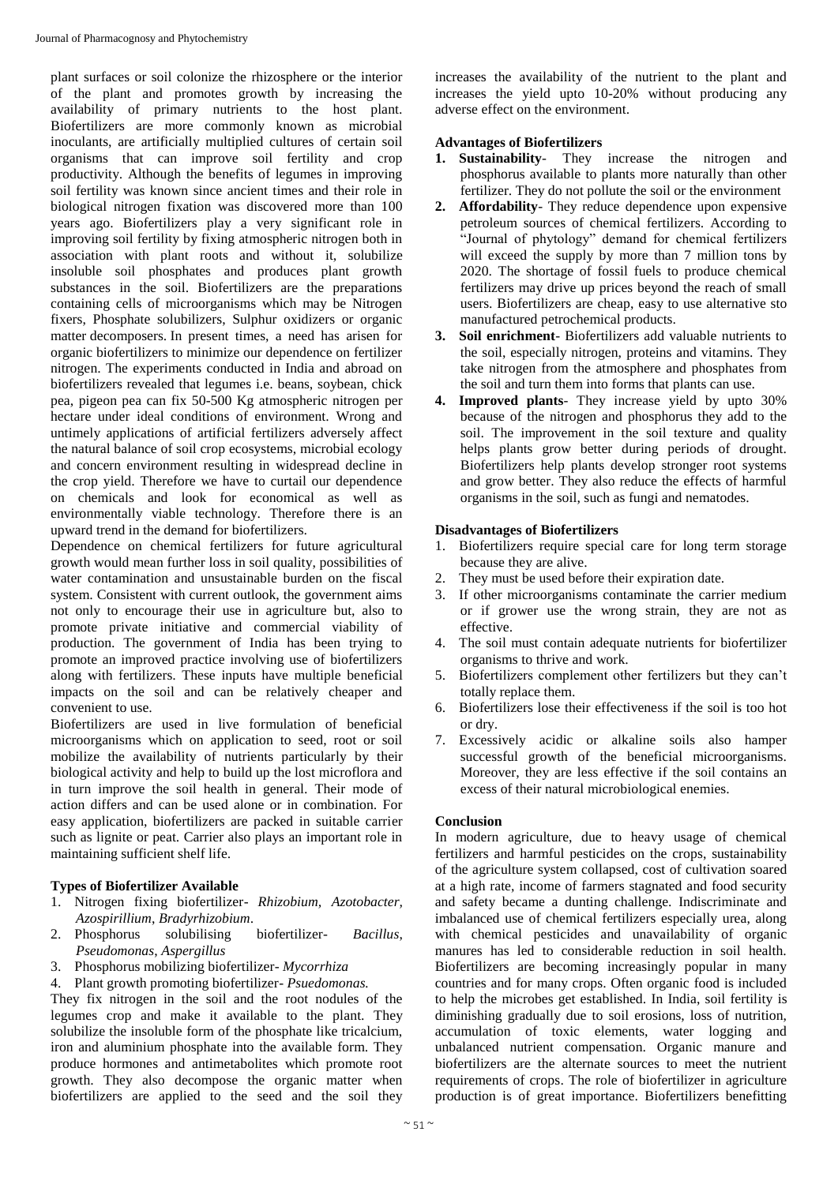plant surfaces or soil colonize the rhizosphere or the interior of the plant and promotes growth by increasing the availability of primary nutrients to the host plant. Biofertilizers are more commonly known as microbial inoculants, are artificially multiplied cultures of certain soil organisms that can improve soil fertility and crop productivity. Although the benefits of legumes in improving soil fertility was known since ancient times and their role in biological nitrogen fixation was discovered more than 100 years ago. Biofertilizers play a very significant role in improving soil fertility by fixing atmospheric nitrogen both in association with plant roots and without it, solubilize insoluble soil phosphates and produces plant growth substances in the soil. Biofertilizers are the preparations containing cells of microorganisms which may be Nitrogen fixers, Phosphate solubilizers, Sulphur oxidizers or organic matter decomposers. In present times, a need has arisen for organic biofertilizers to minimize our dependence on fertilizer nitrogen. The experiments conducted in India and abroad on biofertilizers revealed that legumes i.e. beans, soybean, chick pea, pigeon pea can fix 50-500 Kg atmospheric nitrogen per hectare under ideal conditions of environment. Wrong and untimely applications of artificial fertilizers adversely affect the natural balance of soil crop ecosystems, microbial ecology and concern environment resulting in widespread decline in the crop yield. Therefore we have to curtail our dependence on chemicals and look for economical as well as environmentally viable technology. Therefore there is an upward trend in the demand for biofertilizers.

Dependence on chemical fertilizers for future agricultural growth would mean further loss in soil quality, possibilities of water contamination and unsustainable burden on the fiscal system. Consistent with current outlook, the government aims not only to encourage their use in agriculture but, also to promote private initiative and commercial viability of production. The government of India has been trying to promote an improved practice involving use of biofertilizers along with fertilizers. These inputs have multiple beneficial impacts on the soil and can be relatively cheaper and convenient to use.

Biofertilizers are used in live formulation of beneficial microorganisms which on application to seed, root or soil mobilize the availability of nutrients particularly by their biological activity and help to build up the lost microflora and in turn improve the soil health in general. Their mode of action differs and can be used alone or in combination. For easy application, biofertilizers are packed in suitable carrier such as lignite or peat. Carrier also plays an important role in maintaining sufficient shelf life.

#### **Types of Biofertilizer Available**

- 1. Nitrogen fixing biofertilizer- *Rhizobium, Azotobacter, Azospirillium*, *Bradyrhizobium*.
- 2. Phosphorus solubilising biofertilizer- *Bacillus*, *Pseudomonas*, *Aspergillus*
- 3. Phosphorus mobilizing biofertilizer- *Mycorrhiza*
- 4. Plant growth promoting biofertilizer- *Psuedomonas.*

They fix nitrogen in the soil and the root nodules of the legumes crop and make it available to the plant. They solubilize the insoluble form of the phosphate like tricalcium, iron and aluminium phosphate into the available form. They produce hormones and antimetabolites which promote root growth. They also decompose the organic matter when biofertilizers are applied to the seed and the soil they

increases the availability of the nutrient to the plant and increases the yield upto 10-20% without producing any adverse effect on the environment.

#### **Advantages of Biofertilizers**

- **1. Sustainability** They increase the nitrogen and phosphorus available to plants more naturally than other fertilizer. They do not pollute the soil or the environment
- **2. Affordability** They reduce dependence upon expensive petroleum sources of chemical fertilizers. According to "Journal of phytology" demand for chemical fertilizers will exceed the supply by more than 7 million tons by 2020. The shortage of fossil fuels to produce chemical fertilizers may drive up prices beyond the reach of small users. Biofertilizers are cheap, easy to use alternative sto manufactured petrochemical products.
- **3. Soil enrichment** Biofertilizers add valuable nutrients to the soil, especially nitrogen, proteins and vitamins. They take nitrogen from the atmosphere and phosphates from the soil and turn them into forms that plants can use.
- **4. Improved plants** They increase yield by upto 30% because of the nitrogen and phosphorus they add to the soil. The improvement in the soil texture and quality helps plants grow better during periods of drought. Biofertilizers help plants develop stronger root systems and grow better. They also reduce the effects of harmful organisms in the soil, such as fungi and nematodes.

#### **Disadvantages of Biofertilizers**

- 1. Biofertilizers require special care for long term storage because they are alive.
- 2. They must be used before their expiration date.
- 3. If other microorganisms contaminate the carrier medium or if grower use the wrong strain, they are not as effective.
- 4. The soil must contain adequate nutrients for biofertilizer organisms to thrive and work.
- 5. Biofertilizers complement other fertilizers but they can't totally replace them.
- 6. Biofertilizers lose their effectiveness if the soil is too hot or dry.
- 7. Excessively acidic or alkaline soils also hamper successful growth of the beneficial microorganisms. Moreover, they are less effective if the soil contains an excess of their natural microbiological enemies.

#### **Conclusion**

In modern agriculture, due to heavy usage of chemical fertilizers and harmful pesticides on the crops, sustainability of the agriculture system collapsed, cost of cultivation soared at a high rate, income of farmers stagnated and food security and safety became a dunting challenge. Indiscriminate and imbalanced use of chemical fertilizers especially urea, along with chemical pesticides and unavailability of organic manures has led to considerable reduction in soil health. Biofertilizers are becoming increasingly popular in many countries and for many crops. Often organic food is included to help the microbes get established. In India, soil fertility is diminishing gradually due to soil erosions, loss of nutrition, accumulation of toxic elements, water logging and unbalanced nutrient compensation. Organic manure and biofertilizers are the alternate sources to meet the nutrient requirements of crops. The role of biofertilizer in agriculture production is of great importance. Biofertilizers benefitting